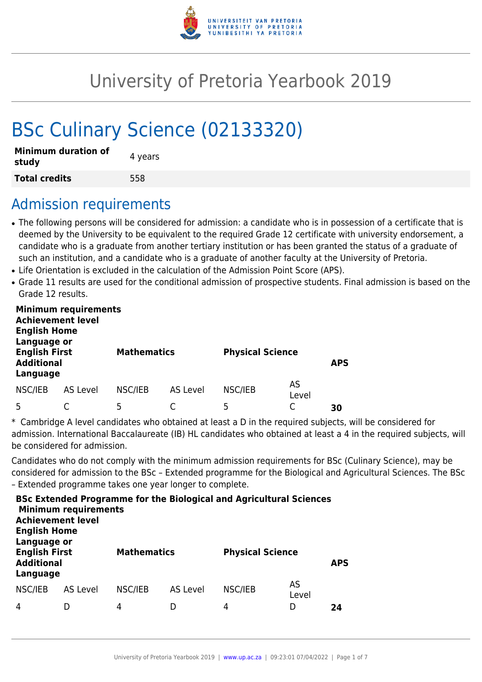

# University of Pretoria Yearbook 2019

# BSc Culinary Science (02133320)

| <b>Minimum duration of</b><br>study | 4 years |
|-------------------------------------|---------|
| <b>Total credits</b>                | 558     |

## Admission requirements

- The following persons will be considered for admission: a candidate who is in possession of a certificate that is deemed by the University to be equivalent to the required Grade 12 certificate with university endorsement, a candidate who is a graduate from another tertiary institution or has been granted the status of a graduate of such an institution, and a candidate who is a graduate of another faculty at the University of Pretoria.
- Life Orientation is excluded in the calculation of the Admission Point Score (APS).
- Grade 11 results are used for the conditional admission of prospective students. Final admission is based on the Grade 12 results.

| <b>Minimum requirements</b><br><b>Achievement level</b><br><b>English Home</b><br>Language or<br><b>English First</b><br><b>Additional</b><br>Language |                 | <b>Mathematics</b> |                 | <b>Physical Science</b> |             | <b>APS</b> |
|--------------------------------------------------------------------------------------------------------------------------------------------------------|-----------------|--------------------|-----------------|-------------------------|-------------|------------|
| NSC/IEB                                                                                                                                                | <b>AS Level</b> | NSC/IEB            | <b>AS Level</b> | NSC/IEB                 | AS<br>Level |            |
|                                                                                                                                                        |                 | 5                  |                 | 5                       |             | 30         |

\* Cambridge A level candidates who obtained at least a D in the required subjects, will be considered for admission. International Baccalaureate (IB) HL candidates who obtained at least a 4 in the required subjects, will be considered for admission.

Candidates who do not comply with the minimum admission requirements for BSc (Culinary Science), may be considered for admission to the BSc – Extended programme for the Biological and Agricultural Sciences. The BSc – Extended programme takes one year longer to complete.

| <b>Achievement level</b><br><b>English Home</b>                      | <b>Minimum requirements</b> |                    |                 | <b>BSc Extended Programme for the Biological and Agricultural Sciences</b> |             |            |
|----------------------------------------------------------------------|-----------------------------|--------------------|-----------------|----------------------------------------------------------------------------|-------------|------------|
| Language or<br><b>English First</b><br><b>Additional</b><br>Language |                             | <b>Mathematics</b> |                 | <b>Physical Science</b>                                                    |             | <b>APS</b> |
| NSC/IEB                                                              | AS Level                    | NSC/IEB            | <b>AS Level</b> | NSC/IEB                                                                    | AS<br>Level |            |
| 4                                                                    |                             | 4                  |                 | 4                                                                          | D           | 24         |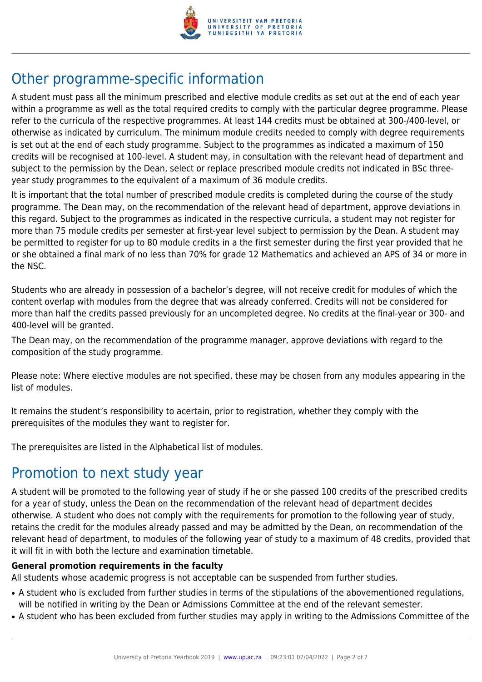

# Other programme-specific information

A student must pass all the minimum prescribed and elective module credits as set out at the end of each year within a programme as well as the total required credits to comply with the particular degree programme. Please refer to the curricula of the respective programmes. At least 144 credits must be obtained at 300-/400-level, or otherwise as indicated by curriculum. The minimum module credits needed to comply with degree requirements is set out at the end of each study programme. Subject to the programmes as indicated a maximum of 150 credits will be recognised at 100-level. A student may, in consultation with the relevant head of department and subject to the permission by the Dean, select or replace prescribed module credits not indicated in BSc threeyear study programmes to the equivalent of a maximum of 36 module credits.

It is important that the total number of prescribed module credits is completed during the course of the study programme. The Dean may, on the recommendation of the relevant head of department, approve deviations in this regard. Subject to the programmes as indicated in the respective curricula, a student may not register for more than 75 module credits per semester at first-year level subject to permission by the Dean. A student may be permitted to register for up to 80 module credits in a the first semester during the first year provided that he or she obtained a final mark of no less than 70% for grade 12 Mathematics and achieved an APS of 34 or more in the NSC.

Students who are already in possession of a bachelor's degree, will not receive credit for modules of which the content overlap with modules from the degree that was already conferred. Credits will not be considered for more than half the credits passed previously for an uncompleted degree. No credits at the final-year or 300- and 400-level will be granted.

The Dean may, on the recommendation of the programme manager, approve deviations with regard to the composition of the study programme.

Please note: Where elective modules are not specified, these may be chosen from any modules appearing in the list of modules.

It remains the student's responsibility to acertain, prior to registration, whether they comply with the prerequisites of the modules they want to register for.

The prerequisites are listed in the Alphabetical list of modules.

# Promotion to next study year

A student will be promoted to the following year of study if he or she passed 100 credits of the prescribed credits for a year of study, unless the Dean on the recommendation of the relevant head of department decides otherwise. A student who does not comply with the requirements for promotion to the following year of study, retains the credit for the modules already passed and may be admitted by the Dean, on recommendation of the relevant head of department, to modules of the following year of study to a maximum of 48 credits, provided that it will fit in with both the lecture and examination timetable.

#### **General promotion requirements in the faculty**

All students whose academic progress is not acceptable can be suspended from further studies.

- A student who is excluded from further studies in terms of the stipulations of the abovementioned regulations, will be notified in writing by the Dean or Admissions Committee at the end of the relevant semester.
- A student who has been excluded from further studies may apply in writing to the Admissions Committee of the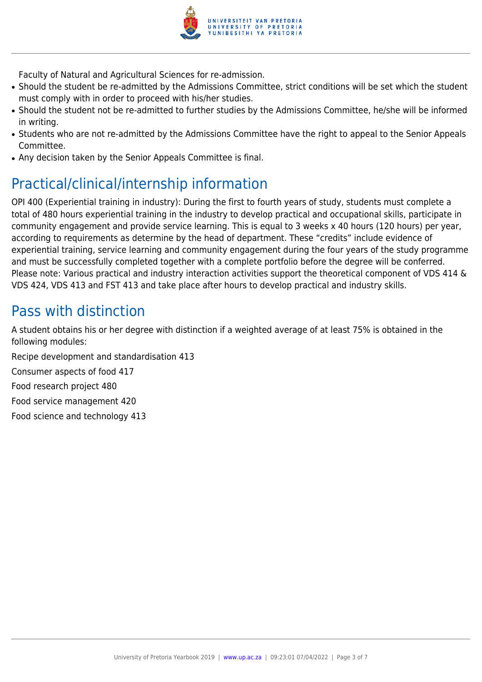

Faculty of Natural and Agricultural Sciences for re-admission.

- Should the student be re-admitted by the Admissions Committee, strict conditions will be set which the student must comply with in order to proceed with his/her studies.
- Should the student not be re-admitted to further studies by the Admissions Committee, he/she will be informed in writing.
- Students who are not re-admitted by the Admissions Committee have the right to appeal to the Senior Appeals Committee.
- Any decision taken by the Senior Appeals Committee is final.

# Practical/clinical/internship information

OPI 400 (Experiential training in industry): During the first to fourth years of study, students must complete a total of 480 hours experiential training in the industry to develop practical and occupational skills, participate in community engagement and provide service learning. This is equal to 3 weeks x 40 hours (120 hours) per year, according to requirements as determine by the head of department. These "credits" include evidence of experiential training, service learning and community engagement during the four years of the study programme and must be successfully completed together with a complete portfolio before the degree will be conferred. Please note: Various practical and industry interaction activities support the theoretical component of VDS 414 & VDS 424, VDS 413 and FST 413 and take place after hours to develop practical and industry skills.

### Pass with distinction

A student obtains his or her degree with distinction if a weighted average of at least 75% is obtained in the following modules:

Recipe development and standardisation 413

Consumer aspects of food 417

Food research project 480

Food service management 420

Food science and technology 413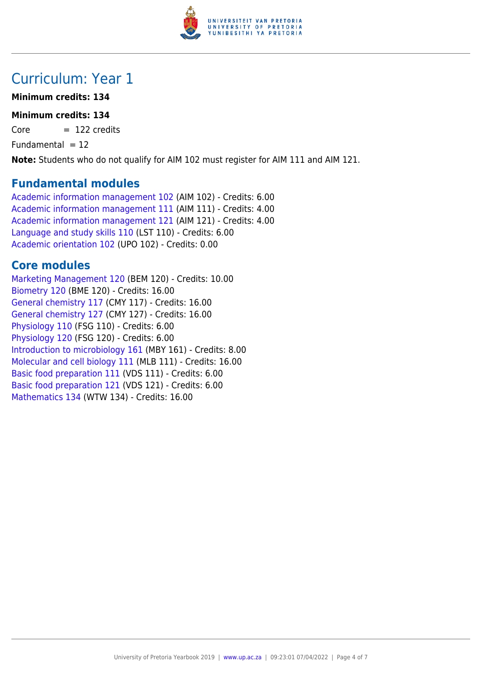

## Curriculum: Year 1

#### **Minimum credits: 134**

#### **Minimum credits: 134**

 $Core = 122 \text{ credits}$ 

Fundamental  $= 12$ 

**Note:** Students who do not qualify for AIM 102 must register for AIM 111 and AIM 121.

#### **Fundamental modules**

[Academic information management 102](https://www.up.ac.za/yearbooks/2019/modules/view/AIM 102) (AIM 102) - Credits: 6.00 [Academic information management 111](https://www.up.ac.za/yearbooks/2019/modules/view/AIM 111) (AIM 111) - Credits: 4.00 [Academic information management 121](https://www.up.ac.za/yearbooks/2019/modules/view/AIM 121) (AIM 121) - Credits: 4.00 [Language and study skills 110](https://www.up.ac.za/yearbooks/2019/modules/view/LST 110) (LST 110) - Credits: 6.00 [Academic orientation 102](https://www.up.ac.za/yearbooks/2019/modules/view/UPO 102) (UPO 102) - Credits: 0.00

### **Core modules**

[Marketing Management 120](https://www.up.ac.za/yearbooks/2019/modules/view/BEM 120) (BEM 120) - Credits: 10.00 [Biometry 120](https://www.up.ac.za/yearbooks/2019/modules/view/BME 120) (BME 120) - Credits: 16.00 [General chemistry 117](https://www.up.ac.za/yearbooks/2019/modules/view/CMY 117) (CMY 117) - Credits: 16.00 [General chemistry 127](https://www.up.ac.za/yearbooks/2019/modules/view/CMY 127) (CMY 127) - Credits: 16.00 [Physiology 110](https://www.up.ac.za/yearbooks/2019/modules/view/FSG 110) (FSG 110) - Credits: 6.00 [Physiology 120](https://www.up.ac.za/yearbooks/2019/modules/view/FSG 120) (FSG 120) - Credits: 6.00 [Introduction to microbiology 161](https://www.up.ac.za/yearbooks/2019/modules/view/MBY 161) (MBY 161) - Credits: 8.00 [Molecular and cell biology 111](https://www.up.ac.za/yearbooks/2019/modules/view/MLB 111) (MLB 111) - Credits: 16.00 [Basic food preparation 111](https://www.up.ac.za/yearbooks/2019/modules/view/VDS 111) (VDS 111) - Credits: 6.00 [Basic food preparation 121](https://www.up.ac.za/yearbooks/2019/modules/view/VDS 121) (VDS 121) - Credits: 6.00 [Mathematics 134](https://www.up.ac.za/yearbooks/2019/modules/view/WTW 134) (WTW 134) - Credits: 16.00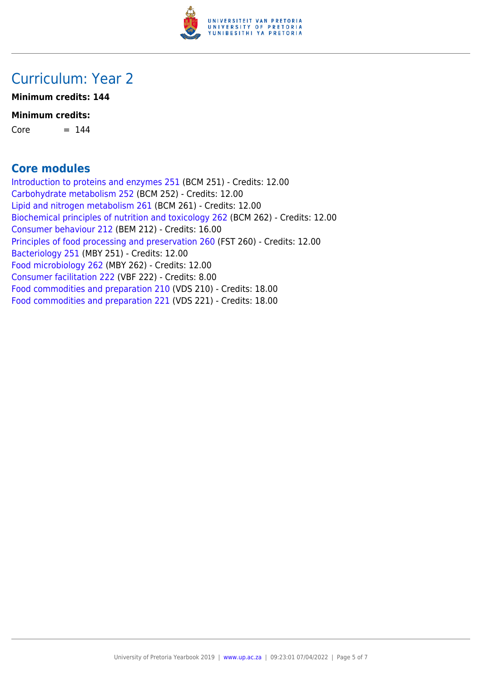

### Curriculum: Year 2

**Minimum credits: 144**

#### **Minimum credits:**

 $Core = 144$ 

### **Core modules**

[Introduction to proteins and enzymes 251](https://www.up.ac.za/yearbooks/2019/modules/view/BCM 251) (BCM 251) - Credits: 12.00 [Carbohydrate metabolism 252](https://www.up.ac.za/yearbooks/2019/modules/view/BCM 252) (BCM 252) - Credits: 12.00 [Lipid and nitrogen metabolism 261](https://www.up.ac.za/yearbooks/2019/modules/view/BCM 261) (BCM 261) - Credits: 12.00 [Biochemical principles of nutrition and toxicology 262](https://www.up.ac.za/yearbooks/2019/modules/view/BCM 262) (BCM 262) - Credits: 12.00 [Consumer behaviour 212](https://www.up.ac.za/yearbooks/2019/modules/view/BEM 212) (BEM 212) - Credits: 16.00 [Principles of food processing and preservation 260](https://www.up.ac.za/yearbooks/2019/modules/view/FST 260) (FST 260) - Credits: 12.00 [Bacteriology 251](https://www.up.ac.za/yearbooks/2019/modules/view/MBY 251) (MBY 251) - Credits: 12.00 [Food microbiology 262](https://www.up.ac.za/yearbooks/2019/modules/view/MBY 262) (MBY 262) - Credits: 12.00 [Consumer facilitation 222](https://www.up.ac.za/yearbooks/2019/modules/view/VBF 222) (VBF 222) - Credits: 8.00 [Food commodities and preparation 210](https://www.up.ac.za/yearbooks/2019/modules/view/VDS 210) (VDS 210) - Credits: 18.00 [Food commodities and preparation 221](https://www.up.ac.za/yearbooks/2019/modules/view/VDS 221) (VDS 221) - Credits: 18.00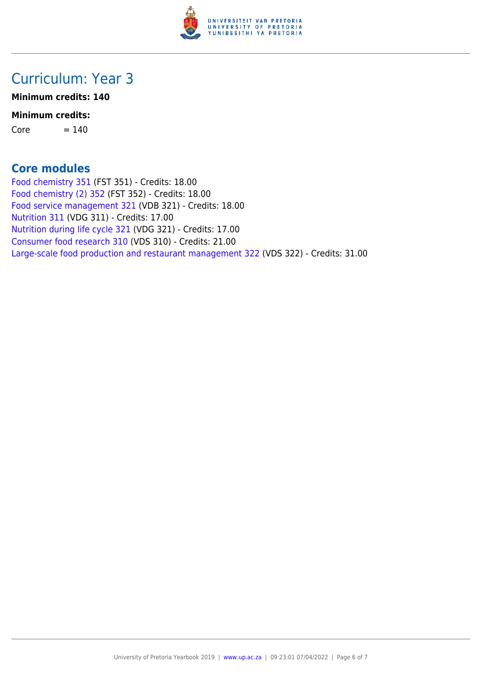

### Curriculum: Year 3

**Minimum credits: 140**

#### **Minimum credits:**

 $Core = 140$ 

### **Core modules**

[Food chemistry 351](https://www.up.ac.za/yearbooks/2019/modules/view/FST 351) (FST 351) - Credits: 18.00 [Food chemistry \(2\) 352](https://www.up.ac.za/yearbooks/2019/modules/view/FST 352) (FST 352) - Credits: 18.00 [Food service management 321](https://www.up.ac.za/yearbooks/2019/modules/view/VDB 321) (VDB 321) - Credits: 18.00 [Nutrition 311](https://www.up.ac.za/yearbooks/2019/modules/view/VDG 311) (VDG 311) - Credits: 17.00 [Nutrition during life cycle 321](https://www.up.ac.za/yearbooks/2019/modules/view/VDG 321) (VDG 321) - Credits: 17.00 [Consumer food research 310](https://www.up.ac.za/yearbooks/2019/modules/view/VDS 310) (VDS 310) - Credits: 21.00 [Large-scale food production and restaurant management 322](https://www.up.ac.za/yearbooks/2019/modules/view/VDS 322) (VDS 322) - Credits: 31.00